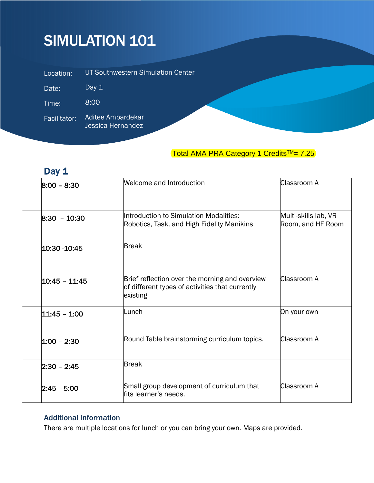# SIMULATION 101

| Location:    | UT Southwestern Simulation Center      |
|--------------|----------------------------------------|
| Date:        | Day $1$                                |
| Time:        | 8:00                                   |
| Facilitator: | Aditee Ambardekar<br>Jessica Hernandez |

### Total AMA PRA Category 1 Credits<sup>™</sup>= 7.25

## Day 1

| $8:00 - 8:30$   | Welcome and Introduction                                                                                      | Classroom A                               |
|-----------------|---------------------------------------------------------------------------------------------------------------|-------------------------------------------|
| $8:30 - 10:30$  | Introduction to Simulation Modalities:<br>Robotics, Task, and High Fidelity Manikins                          | Multi-skills lab, VR<br>Room, and HF Room |
| 10:30 -10:45    | <b>Break</b>                                                                                                  |                                           |
| 10:45 - 11:45   | Brief reflection over the morning and overview<br>of different types of activities that currently<br>existing | Classroom A                               |
| 11:45 - 1:00    | Lunch                                                                                                         | On your own                               |
| $ 1:00 - 2:30 $ | Round Table brainstorming curriculum topics.                                                                  | Classroom A                               |
| 2:30 – 2:45     | <b>Break</b>                                                                                                  |                                           |
| 2:45 - 5:00     | Small group development of curriculum that<br>fits learner's needs.                                           | Classroom A                               |

#### Additional information

There are multiple locations for lunch or you can bring your own. Maps are provided.